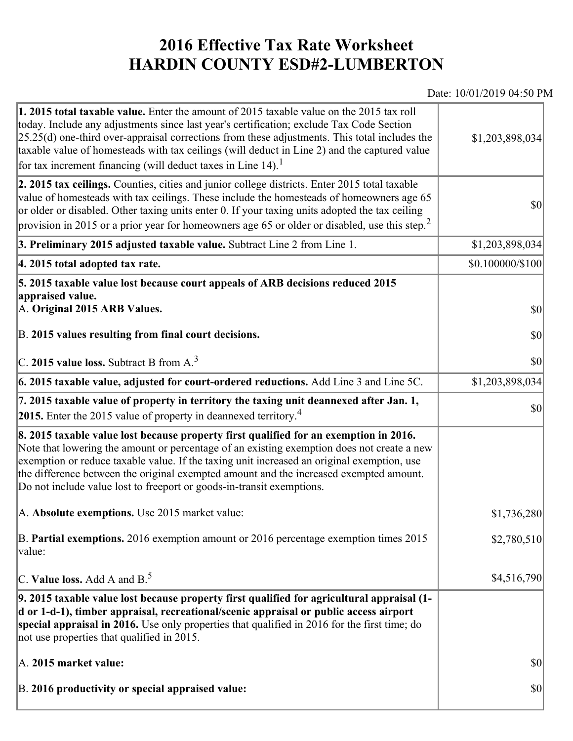## **2016 Effective Tax Rate Worksheet HARDIN COUNTY ESD#2-LUMBERTON**

## Date: 10/01/2019 04:50 PM

| <b>1. 2015 total taxable value.</b> Enter the amount of 2015 taxable value on the 2015 tax roll<br>today. Include any adjustments since last year's certification; exclude Tax Code Section<br>$[25.25(d)$ one-third over-appraisal corrections from these adjustments. This total includes the<br>taxable value of homesteads with tax ceilings (will deduct in Line 2) and the captured value<br>for tax increment financing (will deduct taxes in Line $14$ ). <sup>1</sup> | \$1,203,898,034                     |
|--------------------------------------------------------------------------------------------------------------------------------------------------------------------------------------------------------------------------------------------------------------------------------------------------------------------------------------------------------------------------------------------------------------------------------------------------------------------------------|-------------------------------------|
| 2. 2015 tax ceilings. Counties, cities and junior college districts. Enter 2015 total taxable<br>value of homesteads with tax ceilings. These include the homesteads of homeowners age 65<br>or older or disabled. Other taxing units enter 0. If your taxing units adopted the tax ceiling<br>provision in 2015 or a prior year for homeowners age 65 or older or disabled, use this step. <sup>2</sup>                                                                       | 30                                  |
| 3. Preliminary 2015 adjusted taxable value. Subtract Line 2 from Line 1.                                                                                                                                                                                                                                                                                                                                                                                                       | \$1,203,898,034                     |
| 4. 2015 total adopted tax rate.                                                                                                                                                                                                                                                                                                                                                                                                                                                | $$0.100000 \times 100$              |
| 5. 2015 taxable value lost because court appeals of ARB decisions reduced 2015<br>appraised value.<br>A. Original 2015 ARB Values.<br>B. 2015 values resulting from final court decisions.                                                                                                                                                                                                                                                                                     | $ 10\rangle$<br>$ 10\rangle$        |
| $\vert$ C. 2015 value loss. Subtract B from A. $^3$                                                                                                                                                                                                                                                                                                                                                                                                                            | 30                                  |
| $6.2015$ taxable value, adjusted for court-ordered reductions. Add Line 3 and Line 5C.                                                                                                                                                                                                                                                                                                                                                                                         | \$1,203,898,034                     |
| 7. 2015 taxable value of property in territory the taxing unit deannexed after Jan. 1,<br>2015. Enter the 2015 value of property in deannexed territory. <sup>4</sup>                                                                                                                                                                                                                                                                                                          | 30                                  |
| 8. 2015 taxable value lost because property first qualified for an exemption in 2016.<br>Note that lowering the amount or percentage of an existing exemption does not create a new<br>exemption or reduce taxable value. If the taxing unit increased an original exemption, use<br>the difference between the original exempted amount and the increased exempted amount.<br>Do not include value lost to freeport or goods-in-transit exemptions.                           |                                     |
| A. Absolute exemptions. Use 2015 market value:                                                                                                                                                                                                                                                                                                                                                                                                                                 | \$1,736,280                         |
| B. Partial exemptions. 2016 exemption amount or 2016 percentage exemption times 2015<br>value:                                                                                                                                                                                                                                                                                                                                                                                 | \$2,780,510                         |
| C. Value loss. Add A and $B^5$                                                                                                                                                                                                                                                                                                                                                                                                                                                 | \$4,516,790                         |
| 9. 2015 taxable value lost because property first qualified for agricultural appraisal (1-<br>d or 1-d-1), timber appraisal, recreational/scenic appraisal or public access airport<br>special appraisal in 2016. Use only properties that qualified in 2016 for the first time; do<br>not use properties that qualified in 2015.                                                                                                                                              |                                     |
| A. 2015 market value:                                                                                                                                                                                                                                                                                                                                                                                                                                                          | $\vert \mathbf{S} \mathbf{O} \vert$ |
| B. 2016 productivity or special appraised value:                                                                                                                                                                                                                                                                                                                                                                                                                               | \$0                                 |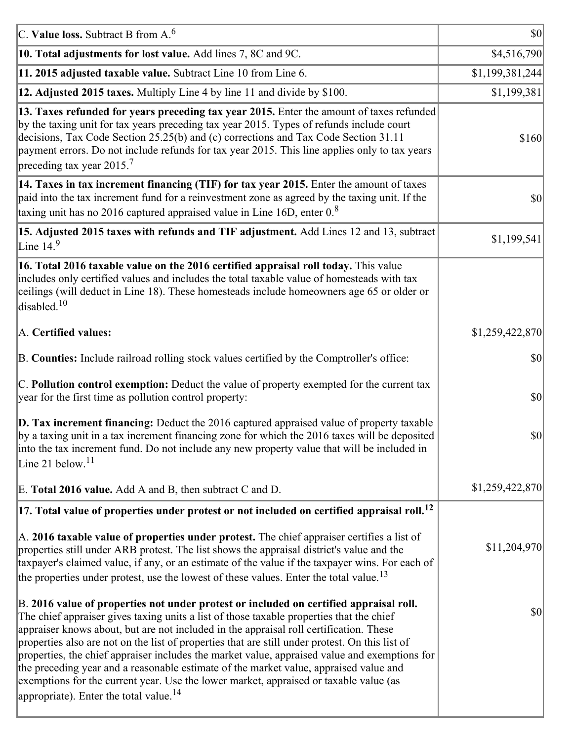| C. Value loss. Subtract B from $A6$                                                                                                                                                                                                                                                                                                                                                                                                                                                                                                                                                                                                                                                                                      | $ 10\rangle$    |
|--------------------------------------------------------------------------------------------------------------------------------------------------------------------------------------------------------------------------------------------------------------------------------------------------------------------------------------------------------------------------------------------------------------------------------------------------------------------------------------------------------------------------------------------------------------------------------------------------------------------------------------------------------------------------------------------------------------------------|-----------------|
| 10. Total adjustments for lost value. Add lines 7, 8C and 9C.                                                                                                                                                                                                                                                                                                                                                                                                                                                                                                                                                                                                                                                            | \$4,516,790     |
| 11. 2015 adjusted taxable value. Subtract Line 10 from Line 6.                                                                                                                                                                                                                                                                                                                                                                                                                                                                                                                                                                                                                                                           | \$1,199,381,244 |
| 12. Adjusted 2015 taxes. Multiply Line 4 by line 11 and divide by \$100.                                                                                                                                                                                                                                                                                                                                                                                                                                                                                                                                                                                                                                                 | \$1,199,381     |
| 13. Taxes refunded for years preceding tax year 2015. Enter the amount of taxes refunded<br>by the taxing unit for tax years preceding tax year 2015. Types of refunds include court<br>decisions, Tax Code Section 25.25(b) and (c) corrections and Tax Code Section 31.11<br>payment errors. Do not include refunds for tax year 2015. This line applies only to tax years<br>preceding tax year 2015. <sup>7</sup>                                                                                                                                                                                                                                                                                                    | \$160           |
| 14. Taxes in tax increment financing (TIF) for tax year 2015. Enter the amount of taxes<br>paid into the tax increment fund for a reinvestment zone as agreed by the taxing unit. If the<br>taxing unit has no 2016 captured appraised value in Line 16D, enter $0.8$                                                                                                                                                                                                                                                                                                                                                                                                                                                    | 30              |
| 15. Adjusted 2015 taxes with refunds and TIF adjustment. Add Lines 12 and 13, subtract<br>Line $14.9$                                                                                                                                                                                                                                                                                                                                                                                                                                                                                                                                                                                                                    | \$1,199,541     |
| 16. Total 2016 taxable value on the 2016 certified appraisal roll today. This value<br>includes only certified values and includes the total taxable value of homesteads with tax<br>ceilings (will deduct in Line 18). These homesteads include homeowners age 65 or older or<br>disabled. <sup>10</sup>                                                                                                                                                                                                                                                                                                                                                                                                                |                 |
| A. Certified values:                                                                                                                                                                                                                                                                                                                                                                                                                                                                                                                                                                                                                                                                                                     | \$1,259,422,870 |
| B. Counties: Include railroad rolling stock values certified by the Comptroller's office:                                                                                                                                                                                                                                                                                                                                                                                                                                                                                                                                                                                                                                | \$0             |
| C. Pollution control exemption: Deduct the value of property exempted for the current tax<br>year for the first time as pollution control property:                                                                                                                                                                                                                                                                                                                                                                                                                                                                                                                                                                      | $ 10\rangle$    |
| $\vert$ D. Tax increment financing: Deduct the 2016 captured appraised value of property taxable<br>by a taxing unit in a tax increment financing zone for which the 2016 taxes will be deposited<br>into the tax increment fund. Do not include any new property value that will be included in<br>Line 21 below. $11$                                                                                                                                                                                                                                                                                                                                                                                                  | \$0             |
| E. Total 2016 value. Add A and B, then subtract C and D.                                                                                                                                                                                                                                                                                                                                                                                                                                                                                                                                                                                                                                                                 | \$1,259,422,870 |
| $ 17$ . Total value of properties under protest or not included on certified appraisal roll. <sup>12</sup>                                                                                                                                                                                                                                                                                                                                                                                                                                                                                                                                                                                                               |                 |
| A. 2016 taxable value of properties under protest. The chief appraiser certifies a list of<br>properties still under ARB protest. The list shows the appraisal district's value and the<br>taxpayer's claimed value, if any, or an estimate of the value if the taxpayer wins. For each of<br>the properties under protest, use the lowest of these values. Enter the total value. <sup>13</sup>                                                                                                                                                                                                                                                                                                                         | \$11,204,970    |
| B. 2016 value of properties not under protest or included on certified appraisal roll.<br>The chief appraiser gives taxing units a list of those taxable properties that the chief<br>appraiser knows about, but are not included in the appraisal roll certification. These<br>properties also are not on the list of properties that are still under protest. On this list of<br>properties, the chief appraiser includes the market value, appraised value and exemptions for<br>the preceding year and a reasonable estimate of the market value, appraised value and<br>exemptions for the current year. Use the lower market, appraised or taxable value (as<br>appropriate). Enter the total value. <sup>14</sup> | \$0             |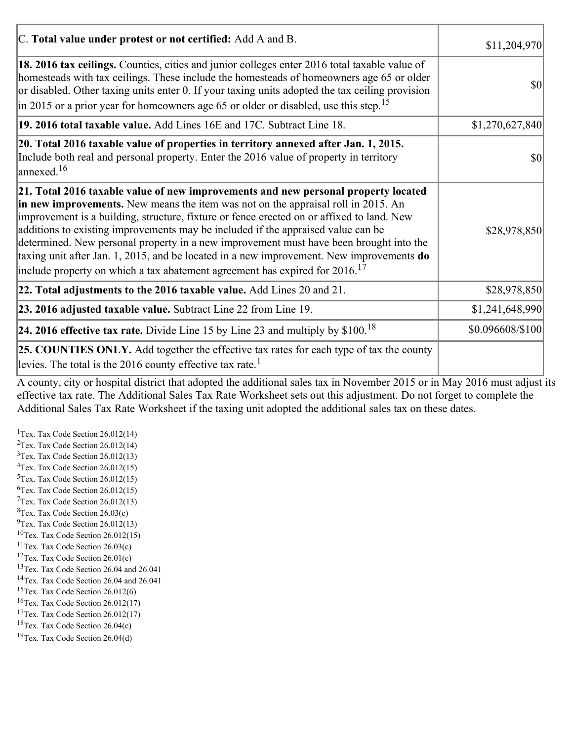| C. Total value under protest or not certified: Add A and B.                                                                                                                                                                                                                                                                                                                                                                                                                                                                                                                                                                                    | \$11,204,970     |
|------------------------------------------------------------------------------------------------------------------------------------------------------------------------------------------------------------------------------------------------------------------------------------------------------------------------------------------------------------------------------------------------------------------------------------------------------------------------------------------------------------------------------------------------------------------------------------------------------------------------------------------------|------------------|
| 18. 2016 tax ceilings. Counties, cities and junior colleges enter 2016 total taxable value of<br>homesteads with tax ceilings. These include the homesteads of homeowners age 65 or older<br>or disabled. Other taxing units enter 0. If your taxing units adopted the tax ceiling provision<br>$\left  \text{in } 2015 \text{ or a prior year for home owners age } 65 \text{ or older or disabled, use this step.} \right ^{15}$                                                                                                                                                                                                             | \$0              |
| 19. 2016 total taxable value. Add Lines 16E and 17C. Subtract Line 18.                                                                                                                                                                                                                                                                                                                                                                                                                                                                                                                                                                         | \$1,270,627,840  |
| 20. Total 2016 taxable value of properties in territory annexed after Jan. 1, 2015.<br>Include both real and personal property. Enter the 2016 value of property in territory<br>$\vert$ annexed. <sup>16</sup>                                                                                                                                                                                                                                                                                                                                                                                                                                | $ 10\rangle$     |
| 21. Total 2016 taxable value of new improvements and new personal property located<br>in new improvements. New means the item was not on the appraisal roll in 2015. An<br>improvement is a building, structure, fixture or fence erected on or affixed to land. New<br>additions to existing improvements may be included if the appraised value can be<br>determined. New personal property in a new improvement must have been brought into the<br>taxing unit after Jan. 1, 2015, and be located in a new improvement. New improvements $do$<br>include property on which a tax abatement agreement has expired for $2016$ . <sup>17</sup> | \$28,978,850     |
| 22. Total adjustments to the 2016 taxable value. Add Lines 20 and 21.                                                                                                                                                                                                                                                                                                                                                                                                                                                                                                                                                                          | \$28,978,850     |
| 23. 2016 adjusted taxable value. Subtract Line 22 from Line 19.                                                                                                                                                                                                                                                                                                                                                                                                                                                                                                                                                                                | \$1,241,648,990  |
| <b>24. 2016 effective tax rate.</b> Divide Line 15 by Line 23 and multiply by $$100$ . <sup>18</sup>                                                                                                                                                                                                                                                                                                                                                                                                                                                                                                                                           | \$0.096608/\$100 |
| <b>25. COUNTIES ONLY.</b> Add together the effective tax rates for each type of tax the county<br>levies. The total is the 2016 county effective tax rate. <sup>1</sup>                                                                                                                                                                                                                                                                                                                                                                                                                                                                        |                  |

A county, city or hospital district that adopted the additional sales tax in November 2015 or in May 2016 must adjust its effective tax rate. The Additional Sales Tax Rate Worksheet sets out this adjustment. Do not forget to complete the Additional Sales Tax Rate Worksheet if the taxing unit adopted the additional sales tax on these dates.

<sup>1</sup>Tex. Tax Code Section  $26.012(14)$ <sup>2</sup>Tex. Tax Code Section  $26.012(14)$  $3$ Tex. Tax Code Section 26.012(13)  ${}^{4}$ Tex. Tax Code Section 26.012(15)  $5$ Tex. Tax Code Section 26.012(15)  ${}^{6}$ Tex. Tax Code Section 26.012(15)  $7$ Tex. Tax Code Section 26.012(13)  ${}^{8}$ Tex. Tax Code Section 26.03(c)  $^{9}$ Tex. Tax Code Section 26.012(13)  $10$ Tex. Tax Code Section 26.012(15) <sup>11</sup>Tex. Tax Code Section  $26.03(c)$ <sup>12</sup>Tex. Tax Code Section  $26.01(c)$ <sup>13</sup>Tex. Tax Code Section 26.04 and 26.041 <sup>14</sup>Tex. Tax Code Section 26.04 and 26.041 <sup>15</sup>Tex. Tax Code Section  $26.012(6)$  $16$ Tex. Tax Code Section 26.012(17) <sup>17</sup>Tex. Tax Code Section  $26.012(17)$ <sup>18</sup>Tex. Tax Code Section 26.04(c) <sup>19</sup>Tex. Tax Code Section 26.04(d)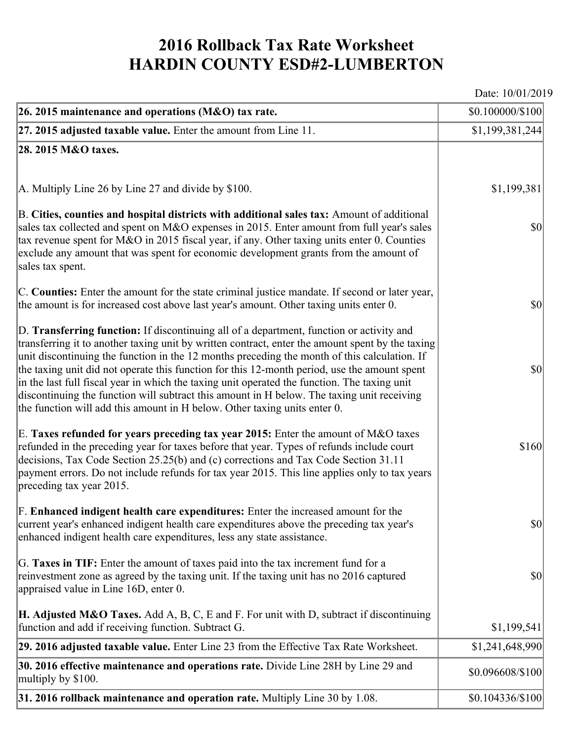## **2016 Rollback Tax Rate Worksheet HARDIN COUNTY ESD#2-LUMBERTON**

Date: 10/01/2019

| 26. 2015 maintenance and operations (M&O) tax rate.                                                                                                                                                                                                                                                                                                                                                                                                                                                                                                                                                                                                                     | \$0.100000/\$100 |
|-------------------------------------------------------------------------------------------------------------------------------------------------------------------------------------------------------------------------------------------------------------------------------------------------------------------------------------------------------------------------------------------------------------------------------------------------------------------------------------------------------------------------------------------------------------------------------------------------------------------------------------------------------------------------|------------------|
| $ 27.2015$ adjusted taxable value. Enter the amount from Line 11.                                                                                                                                                                                                                                                                                                                                                                                                                                                                                                                                                                                                       | \$1,199,381,244  |
| 28. 2015 M&O taxes.                                                                                                                                                                                                                                                                                                                                                                                                                                                                                                                                                                                                                                                     |                  |
|                                                                                                                                                                                                                                                                                                                                                                                                                                                                                                                                                                                                                                                                         |                  |
| A. Multiply Line 26 by Line 27 and divide by \$100.                                                                                                                                                                                                                                                                                                                                                                                                                                                                                                                                                                                                                     | \$1,199,381      |
| B. Cities, counties and hospital districts with additional sales tax: Amount of additional<br>sales tax collected and spent on M&O expenses in 2015. Enter amount from full year's sales<br>tax revenue spent for M&O in 2015 fiscal year, if any. Other taxing units enter 0. Counties<br>exclude any amount that was spent for economic development grants from the amount of<br>sales tax spent.                                                                                                                                                                                                                                                                     | $ 10\rangle$     |
| C. Counties: Enter the amount for the state criminal justice mandate. If second or later year,<br>the amount is for increased cost above last year's amount. Other taxing units enter 0.                                                                                                                                                                                                                                                                                                                                                                                                                                                                                | $ 10\rangle$     |
| D. Transferring function: If discontinuing all of a department, function or activity and<br>transferring it to another taxing unit by written contract, enter the amount spent by the taxing<br>unit discontinuing the function in the 12 months preceding the month of this calculation. If<br>the taxing unit did not operate this function for this 12-month period, use the amount spent<br>in the last full fiscal year in which the taxing unit operated the function. The taxing unit<br>discontinuing the function will subtract this amount in H below. The taxing unit receiving<br>the function will add this amount in H below. Other taxing units enter 0. | $ 10\rangle$     |
| E. Taxes refunded for years preceding tax year 2015: Enter the amount of M&O taxes<br>refunded in the preceding year for taxes before that year. Types of refunds include court<br>decisions, Tax Code Section 25.25(b) and (c) corrections and Tax Code Section 31.11<br>payment errors. Do not include refunds for tax year 2015. This line applies only to tax years<br>preceding tax year 2015.                                                                                                                                                                                                                                                                     | \$160            |
| F. Enhanced indigent health care expenditures: Enter the increased amount for the<br>current year's enhanced indigent health care expenditures above the preceding tax year's<br>enhanced indigent health care expenditures, less any state assistance.                                                                                                                                                                                                                                                                                                                                                                                                                 | $ 10\rangle$     |
| G. Taxes in TIF: Enter the amount of taxes paid into the tax increment fund for a<br>reinvestment zone as agreed by the taxing unit. If the taxing unit has no 2016 captured<br>appraised value in Line 16D, enter 0.                                                                                                                                                                                                                                                                                                                                                                                                                                                   | $ 10\rangle$     |
| <b>H. Adjusted M&amp;O Taxes.</b> Add A, B, C, E and F. For unit with D, subtract if discontinuing<br>function and add if receiving function. Subtract G.                                                                                                                                                                                                                                                                                                                                                                                                                                                                                                               | \$1,199,541      |
| 29. 2016 adjusted taxable value. Enter Line 23 from the Effective Tax Rate Worksheet.                                                                                                                                                                                                                                                                                                                                                                                                                                                                                                                                                                                   | \$1,241,648,990  |
| 30. 2016 effective maintenance and operations rate. Divide Line 28H by Line 29 and<br>multiply by \$100.                                                                                                                                                                                                                                                                                                                                                                                                                                                                                                                                                                | \$0.096608/\$100 |
| $31.2016$ rollback maintenance and operation rate. Multiply Line 30 by 1.08.                                                                                                                                                                                                                                                                                                                                                                                                                                                                                                                                                                                            | \$0.104336/\$100 |